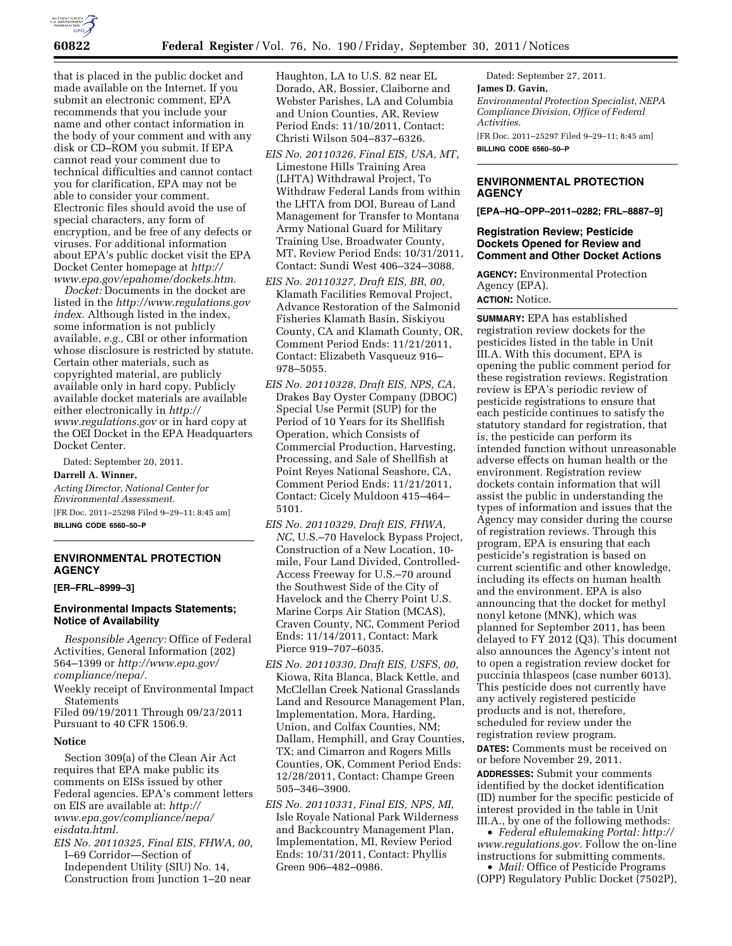

that is placed in the public docket and made available on the Internet. If you submit an electronic comment, EPA recommends that you include your name and other contact information in the body of your comment and with any disk or CD–ROM you submit. If EPA cannot read your comment due to technical difficulties and cannot contact you for clarification, EPA may not be able to consider your comment. Electronic files should avoid the use of special characters, any form of encryption, and be free of any defects or viruses. For additional information about EPA's public docket visit the EPA Docket Center homepage at *[http://](http://www.epa.gov/epahome/dockets.htm) [www.epa.gov/epahome/dockets.htm.](http://www.epa.gov/epahome/dockets.htm)* 

*Docket:* Documents in the docket are listed in the *[http://www.regulations.gov](http://www.regulations.govindex) [index.](http://www.regulations.govindex)* Although listed in the index, some information is not publicly available, *e.g.,* CBI or other information whose disclosure is restricted by statute. Certain other materials, such as copyrighted material, are publicly available only in hard copy. Publicly available docket materials are available either electronically in *[http://](http://www.regulations.gov)  [www.regulations.gov](http://www.regulations.gov)* or in hard copy at the OEI Docket in the EPA Headquarters Docket Center.

Dated: September 20, 2011.

#### **Darrell A. Winner,**

*Acting Director, National Center for Environmental Assessment.*  [FR Doc. 2011–25298 Filed 9–29–11; 8:45 am]

**BILLING CODE 6560–50–P** 

# **ENVIRONMENTAL PROTECTION AGENCY**

## **[ER–FRL–8999–3]**

## **Environmental Impacts Statements; Notice of Availability**

*Responsible Agency:* Office of Federal Activities, General Information (202) 564–1399 or *[http://www.epa.gov/](http://www.epa.gov/compliance/nepa/) [compliance/nepa/.](http://www.epa.gov/compliance/nepa/)* 

Weekly receipt of Environmental Impact **Statements** 

Filed 09/19/2011 Through 09/23/2011 Pursuant to 40 CFR 1506.9.

#### **Notice**

Section 309(a) of the Clean Air Act requires that EPA make public its comments on EISs issued by other Federal agencies. EPA's comment letters on EIS are available at: *http:// www.epa.gov/compliance/nepa/ eisdata.html.* 

*EIS No. 20110325, Final EIS, FHWA, 00*, I–69 Corridor—Section of Independent Utility (SIU) No. 14, Construction from Junction 1–20 near

Haughton, LA to U.S. 82 near EL Dorado, AR, Bossier, Claiborne and Webster Parishes, LA and Columbia and Union Counties, AR, Review Period Ends: 11/10/2011, Contact: Christi Wilson 504–837–6326.

- *EIS No. 20110326, Final EIS, USA, MT*, Limestone Hills Training Area (LHTA) Withdrawal Project, To Withdraw Federal Lands from within the LHTA from DOI, Bureau of Land Management for Transfer to Montana Army National Guard for Military Training Use, Broadwater County, MT, Review Period Ends: 10/31/2011, Contact: Sundi West 406–324–3088.
- *EIS No. 20110327, Draft EIS, BR, 00*, Klamath Facilities Removal Project, Advance Restoration of the Salmonid Fisheries Klamath Basin, Siskiyou County, CA and Klamath County, OR, Comment Period Ends: 11/21/2011, Contact: Elizabeth Vasqueuz 916– 978–5055.
- *EIS No. 20110328, Draft EIS, NPS, CA*, Drakes Bay Oyster Company (DBOC) Special Use Permit (SUP) for the Period of 10 Years for its Shellfish Operation, which Consists of Commercial Production, Harvesting, Processing, and Sale of Shellfish at Point Reyes National Seashore, CA, Comment Period Ends: 11/21/2011, Contact: Cicely Muldoon 415–464– 5101.
- *EIS No. 20110329, Draft EIS, FHWA, NC*, U.S.–70 Havelock Bypass Project, Construction of a New Location, 10 mile, Four Land Divided, Controlled-Access Freeway for U.S.–70 around the Southwest Side of the City of Havelock and the Cherry Point U.S. Marine Corps Air Station (MCAS), Craven County, NC, Comment Period Ends: 11/14/2011, Contact: Mark Pierce 919–707–6035.
- *EIS No. 20110330, Draft EIS, USFS, 00*, Kiowa, Rita Blanca, Black Kettle, and McClellan Creek National Grasslands Land and Resource Management Plan, Implementation, Mora, Harding, Union, and Colfax Counties, NM; Dallam, Hemphill, and Gray Counties, TX; and Cimarron and Rogers Mills Counties, OK, Comment Period Ends: 12/28/2011, Contact: Champe Green 505–346–3900.
- *EIS No. 20110331, Final EIS, NPS, MI*, Isle Royale National Park Wilderness and Backcountry Management Plan, Implementation, MI, Review Period Ends: 10/31/2011, Contact: Phyllis Green 906–482–0986.

Dated: September 27, 2011. **James D. Gavin,**  *Environmental Protection Specialist, NEPA Compliance Division, Office of Federal Activities.*  [FR Doc. 2011–25297 Filed 9–29–11; 8:45 am] **BILLING CODE 6560–50–P** 

### **ENVIRONMENTAL PROTECTION AGENCY**

**[EPA–HQ–OPP–2011–0282; FRL–8887–9]** 

## **Registration Review; Pesticide Dockets Opened for Review and Comment and Other Docket Actions**

**AGENCY:** Environmental Protection Agency (EPA). **ACTION:** Notice.

**SUMMARY:** EPA has established registration review dockets for the pesticides listed in the table in Unit III.A. With this document, EPA is opening the public comment period for these registration reviews. Registration review is EPA's periodic review of pesticide registrations to ensure that each pesticide continues to satisfy the statutory standard for registration, that is, the pesticide can perform its intended function without unreasonable adverse effects on human health or the environment. Registration review dockets contain information that will assist the public in understanding the types of information and issues that the Agency may consider during the course of registration reviews. Through this program, EPA is ensuring that each pesticide's registration is based on current scientific and other knowledge, including its effects on human health and the environment. EPA is also announcing that the docket for methyl nonyl ketone (MNK), which was planned for September 2011, has been delayed to FY 2012 (Q3). This document also announces the Agency's intent not to open a registration review docket for puccinia thlaspeos (case number 6013). This pesticide does not currently have any actively registered pesticide products and is not, therefore, scheduled for review under the registration review program.

**DATES:** Comments must be received on or before November 29, 2011. **ADDRESSES:** Submit your comments identified by the docket identification (ID) number for the specific pesticide of interest provided in the table in Unit III.A., by one of the following methods:

• *Federal eRulemaking Portal: [http://](http://www.regulations.gov)  [www.regulations.gov.](http://www.regulations.gov)* Follow the on-line instructions for submitting comments. • *Mail:* Office of Pesticide Programs

(OPP) Regulatory Public Docket (7502P),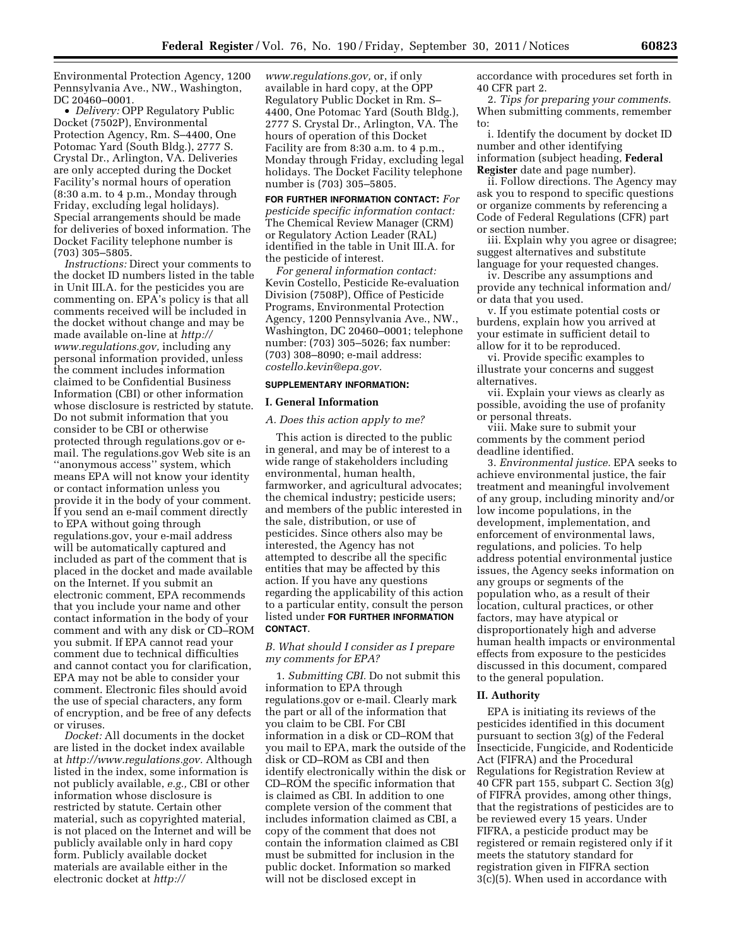Environmental Protection Agency, 1200 Pennsylvania Ave., NW., Washington, DC 20460–0001.

• *Delivery:* OPP Regulatory Public Docket (7502P), Environmental Protection Agency, Rm. S–4400, One Potomac Yard (South Bldg.), 2777 S. Crystal Dr., Arlington, VA. Deliveries are only accepted during the Docket Facility's normal hours of operation (8:30 a.m. to 4 p.m., Monday through Friday, excluding legal holidays). Special arrangements should be made for deliveries of boxed information. The Docket Facility telephone number is (703) 305–5805.

*Instructions:* Direct your comments to the docket ID numbers listed in the table in Unit III.A. for the pesticides you are commenting on. EPA's policy is that all comments received will be included in the docket without change and may be made available on-line at *[http://](http://www.regulations.gov)  [www.regulations.gov,](http://www.regulations.gov)* including any personal information provided, unless the comment includes information claimed to be Confidential Business Information (CBI) or other information whose disclosure is restricted by statute. Do not submit information that you consider to be CBI or otherwise protected through regulations.gov or email. The regulations.gov Web site is an ''anonymous access'' system, which means EPA will not know your identity or contact information unless you provide it in the body of your comment. If you send an e-mail comment directly to EPA without going through regulations.gov, your e-mail address will be automatically captured and included as part of the comment that is placed in the docket and made available on the Internet. If you submit an electronic comment, EPA recommends that you include your name and other contact information in the body of your comment and with any disk or CD–ROM you submit. If EPA cannot read your comment due to technical difficulties and cannot contact you for clarification, EPA may not be able to consider your comment. Electronic files should avoid the use of special characters, any form of encryption, and be free of any defects or viruses.

*Docket:* All documents in the docket are listed in the docket index available at *[http://www.regulations.gov.](http://www.regulations.gov)* Although listed in the index, some information is not publicly available, *e.g.,* CBI or other information whose disclosure is restricted by statute. Certain other material, such as copyrighted material, is not placed on the Internet and will be publicly available only in hard copy form. Publicly available docket materials are available either in the electronic docket at *[http://](http://www.regulations.gov)* 

*[www.regulations.gov,](http://www.regulations.gov)* or, if only available in hard copy, at the OPP Regulatory Public Docket in Rm. S– 4400, One Potomac Yard (South Bldg.), 2777 S. Crystal Dr., Arlington, VA. The hours of operation of this Docket Facility are from 8:30 a.m. to 4 p.m., Monday through Friday, excluding legal holidays. The Docket Facility telephone number is (703) 305–5805.

**FOR FURTHER INFORMATION CONTACT:** *For pesticide specific information contact:*  The Chemical Review Manager (CRM) or Regulatory Action Leader (RAL) identified in the table in Unit III.A. for the pesticide of interest.

*For general information contact:*  Kevin Costello, Pesticide Re-evaluation Division (7508P), Office of Pesticide Programs, Environmental Protection Agency, 1200 Pennsylvania Ave., NW., Washington, DC 20460–0001; telephone number: (703) 305–5026; fax number: (703) 308–8090; e-mail address: *[costello.kevin@epa.gov.](mailto:costello.kevin@epa.gov)* 

#### **SUPPLEMENTARY INFORMATION:**

#### **I. General Information**

#### *A. Does this action apply to me?*

This action is directed to the public in general, and may be of interest to a wide range of stakeholders including environmental, human health, farmworker, and agricultural advocates; the chemical industry; pesticide users; and members of the public interested in the sale, distribution, or use of pesticides. Since others also may be interested, the Agency has not attempted to describe all the specific entities that may be affected by this action. If you have any questions regarding the applicability of this action to a particular entity, consult the person listed under **FOR FURTHER INFORMATION CONTACT**.

### *B. What should I consider as I prepare my comments for EPA?*

1. *Submitting CBI.* Do not submit this information to EPA through regulations.gov or e-mail. Clearly mark the part or all of the information that you claim to be CBI. For CBI information in a disk or CD–ROM that you mail to EPA, mark the outside of the disk or CD–ROM as CBI and then identify electronically within the disk or CD–ROM the specific information that is claimed as CBI. In addition to one complete version of the comment that includes information claimed as CBI, a copy of the comment that does not contain the information claimed as CBI must be submitted for inclusion in the public docket. Information so marked will not be disclosed except in

accordance with procedures set forth in 40 CFR part 2.

2. *Tips for preparing your comments.*  When submitting comments, remember to:

i. Identify the document by docket ID number and other identifying information (subject heading, **Federal Register** date and page number).

ii. Follow directions. The Agency may ask you to respond to specific questions or organize comments by referencing a Code of Federal Regulations (CFR) part or section number.

iii. Explain why you agree or disagree; suggest alternatives and substitute language for your requested changes.

iv. Describe any assumptions and provide any technical information and/ or data that you used.

v. If you estimate potential costs or burdens, explain how you arrived at your estimate in sufficient detail to allow for it to be reproduced.

vi. Provide specific examples to illustrate your concerns and suggest alternatives.

vii. Explain your views as clearly as possible, avoiding the use of profanity or personal threats.

viii. Make sure to submit your comments by the comment period deadline identified.

3. *Environmental justice.* EPA seeks to achieve environmental justice, the fair treatment and meaningful involvement of any group, including minority and/or low income populations, in the development, implementation, and enforcement of environmental laws, regulations, and policies. To help address potential environmental justice issues, the Agency seeks information on any groups or segments of the population who, as a result of their location, cultural practices, or other factors, may have atypical or disproportionately high and adverse human health impacts or environmental effects from exposure to the pesticides discussed in this document, compared to the general population.

## **II. Authority**

EPA is initiating its reviews of the pesticides identified in this document pursuant to section 3(g) of the Federal Insecticide, Fungicide, and Rodenticide Act (FIFRA) and the Procedural Regulations for Registration Review at 40 CFR part 155, subpart C. Section 3(g) of FIFRA provides, among other things, that the registrations of pesticides are to be reviewed every 15 years. Under FIFRA, a pesticide product may be registered or remain registered only if it meets the statutory standard for registration given in FIFRA section 3(c)(5). When used in accordance with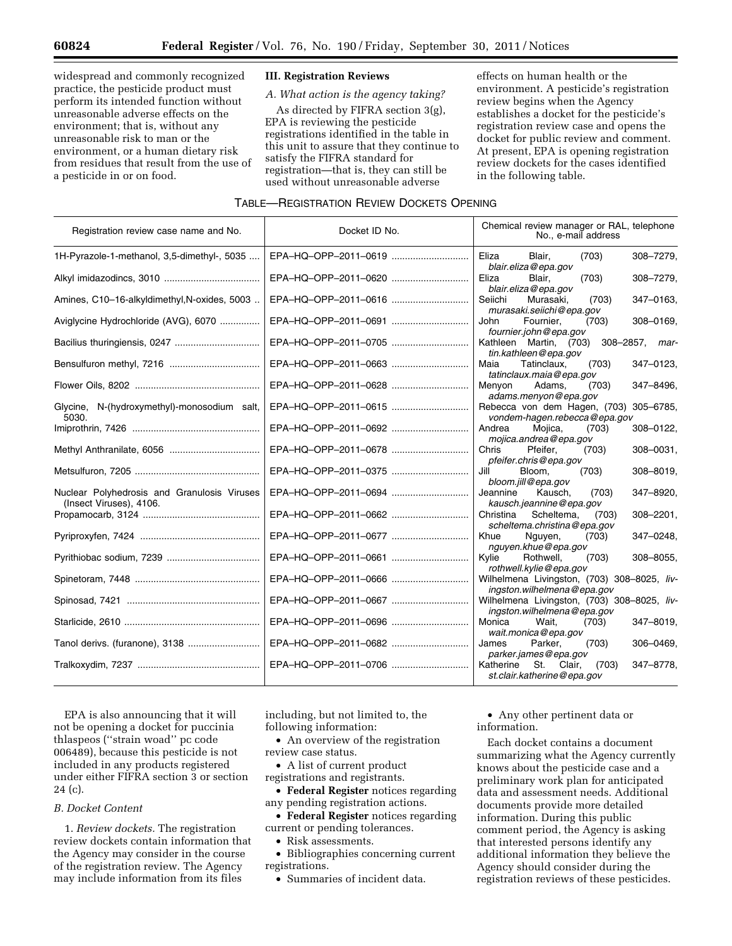widespread and commonly recognized practice, the pesticide product must perform its intended function without unreasonable adverse effects on the environment; that is, without any unreasonable risk to man or the environment, or a human dietary risk from residues that result from the use of a pesticide in or on food.

## **III. Registration Reviews**

*A. What action is the agency taking?* 

As directed by FIFRA section 3(g), EPA is reviewing the pesticide registrations identified in the table in this unit to assure that they continue to satisfy the FIFRA standard for registration—that is, they can still be used without unreasonable adverse

effects on human health or the environment. A pesticide's registration review begins when the Agency establishes a docket for the pesticide's registration review case and opens the docket for public review and comment. At present, EPA is opening registration review dockets for the cases identified in the following table.

## TABLE—REGISTRATION REVIEW DOCKETS OPENING

| Registration review case name and No.                                  | Docket ID No.        | Chemical review manager or RAL, telephone<br>No., e-mail address          |
|------------------------------------------------------------------------|----------------------|---------------------------------------------------------------------------|
| 1H-Pyrazole-1-methanol, 3,5-dimethyl-, 5035                            | EPA-HQ-OPP-2011-0619 | Eliza<br>Blair,<br>(703)<br>308-7279,<br>blair.eliza@epa.gov              |
|                                                                        | EPA-HQ-OPP-2011-0620 | Eliza<br>(703)<br>308-7279,<br>Blair.<br>blair.eliza@epa.gov              |
| Amines, C10-16-alkyldimethyl, N-oxides, 5003                           | EPA-HQ-OPP-2011-0616 | Seiichi<br>347-0163,<br>Murasaki,<br>(703)<br>murasaki.seiichi@epa.gov    |
| Aviglycine Hydrochloride (AVG), 6070                                   | EPA-HQ-OPP-2011-0691 | Fournier.<br>308-0169,<br>John<br>(703)<br>fournier.john@epa.gov          |
| Bacilius thuringiensis, 0247                                           | EPA-HQ-OPP-2011-0705 | Kathleen Martin, (703) 308-2857, mar-<br>tin.kathleen@epa.gov             |
|                                                                        | EPA-HQ-OPP-2011-0663 | Maia<br>Tatinclaux.<br>347-0123,<br>(703)<br>tatinclaux.maia@epa.gov      |
|                                                                        | EPA-HQ-OPP-2011-0628 | 347-8496,<br>Menyon<br>Adams,<br>(703)<br>adams.menyon@epa.gov            |
| Glycine, N-(hydroxymethyl)-monosodium salt,<br>5030.                   | EPA-HQ-OPP-2011-0615 | Rebecca von dem Hagen, (703) 305-6785,<br>vondem-hagen.rebecca@epa.gov    |
|                                                                        | EPA-HQ-OPP-2011-0692 | Andrea<br>Mojica,<br>308-0122,<br>(703)<br>mojica.andrea@epa.gov          |
|                                                                        | EPA-HQ-OPP-2011-0678 | Pfeifer.<br>Chris<br>(703)<br>308-0031,<br>pfeifer.chris@epa.gov          |
|                                                                        | EPA-HQ-OPP-2011-0375 | Jill<br>Bloom,<br>(703)<br>308-8019,<br>bloom.jill@epa.gov                |
| Nuclear Polyhedrosis and Granulosis Viruses<br>(Insect Viruses), 4106. | EPA-HQ-OPP-2011-0694 | Jeannine<br>Kausch.<br>347-8920,<br>(703)<br>kausch.jeannine@epa.gov      |
|                                                                        | EPA-HQ-OPP-2011-0662 | Christina Scheltema,<br>308-2201,<br>(703)<br>scheltema.christina@epa.gov |
|                                                                        | EPA-HQ-OPP-2011-0677 | 347-0248,<br>Khue<br>Nguyen,<br>(703)<br>nguyen.khue@epa.gov              |
|                                                                        | EPA-HQ-OPP-2011-0661 | Kvlie<br>308-8055,<br>Rothwell,<br>(703)<br>rothwell.kylie@epa.gov        |
|                                                                        | EPA-HQ-OPP-2011-0666 | Wilhelmena Livingston, (703) 308-8025, liv-<br>ingston.wilhelmena@epa.gov |
|                                                                        | EPA-HQ-OPP-2011-0667 | Wilhelmena Livingston, (703) 308-8025, liv-<br>ingston.wilhelmena@epa.gov |
|                                                                        | EPA-HQ-OPP-2011-0696 | Monica<br>Wait.<br>347-8019,<br>(703)<br>wait.monica@epa.gov              |
|                                                                        | EPA-HQ-OPP-2011-0682 | James<br>Parker,<br>(703)<br>306-0469,<br>parker.james@epa.gov            |
|                                                                        | EPA-HQ-OPP-2011-0706 | Katherine St. Clair,<br>347-8778.<br>(703)<br>st.clair.katherine@epa.gov  |

EPA is also announcing that it will not be opening a docket for puccinia thlaspeos (''strain woad'' pc code 006489), because this pesticide is not included in any products registered under either FIFRA section 3 or section 24 (c).

## *B. Docket Content*

1. *Review dockets.* The registration review dockets contain information that the Agency may consider in the course of the registration review. The Agency may include information from its files

including, but not limited to, the following information:

• An overview of the registration review case status.

• A list of current product registrations and registrants.

• **Federal Register** notices regarding any pending registration actions.

• **Federal Register** notices regarding current or pending tolerances.

• Risk assessments.

• Bibliographies concerning current registrations.

• Summaries of incident data.

• Any other pertinent data or information.

Each docket contains a document summarizing what the Agency currently knows about the pesticide case and a preliminary work plan for anticipated data and assessment needs. Additional documents provide more detailed information. During this public comment period, the Agency is asking that interested persons identify any additional information they believe the Agency should consider during the registration reviews of these pesticides.